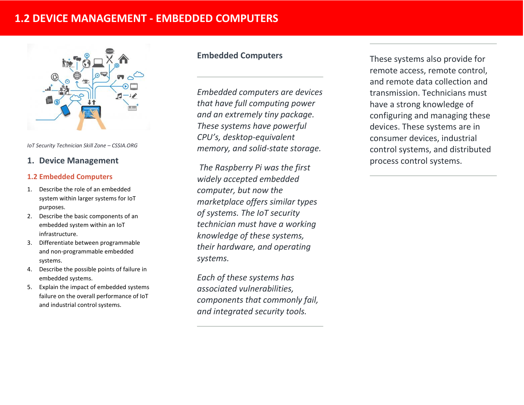# **1.2 DEVICE MANAGEMENT - EMBEDDED COMPUTERS**



*IoT Security Technician Skill Zone – CSSIA.ORG*

# **1. Device Management**

## **1.2 Embedded Computers**

- 1. Describe the role of an embedded system within larger systems for IoT purposes.
- 2. Describe the basic components of an embedded system within an IoT infrastructure.
- 3. Differentiate between programmable and non-programmable embedded systems.
- 4. Describe the possible points of failure in embedded systems.
- 5. Explain the impact of embedded systems failure on the overall performance of IoT and industrial control systems.

## **Embedded Computers**

*Embedded computers are devices that have full computing power and an extremely tiny package. These systems have powerful CPU's, desktop-equivalent memory, and solid-state storage.*

*The Raspberry Pi was the first widely accepted embedded computer, but now the marketplace offers similar types of systems. The IoT security technician must have a working knowledge of these systems, their hardware, and operating systems.* 

*Each of these systems has associated vulnerabilities, components that commonly fail, and integrated security tools.*

These systems also provide for remote access, remote control, and remote data collection and transmission. Technicians must have a strong knowledge of configuring and managing these devices. These systems are in consumer devices, industrial control systems, and distributed process control systems.